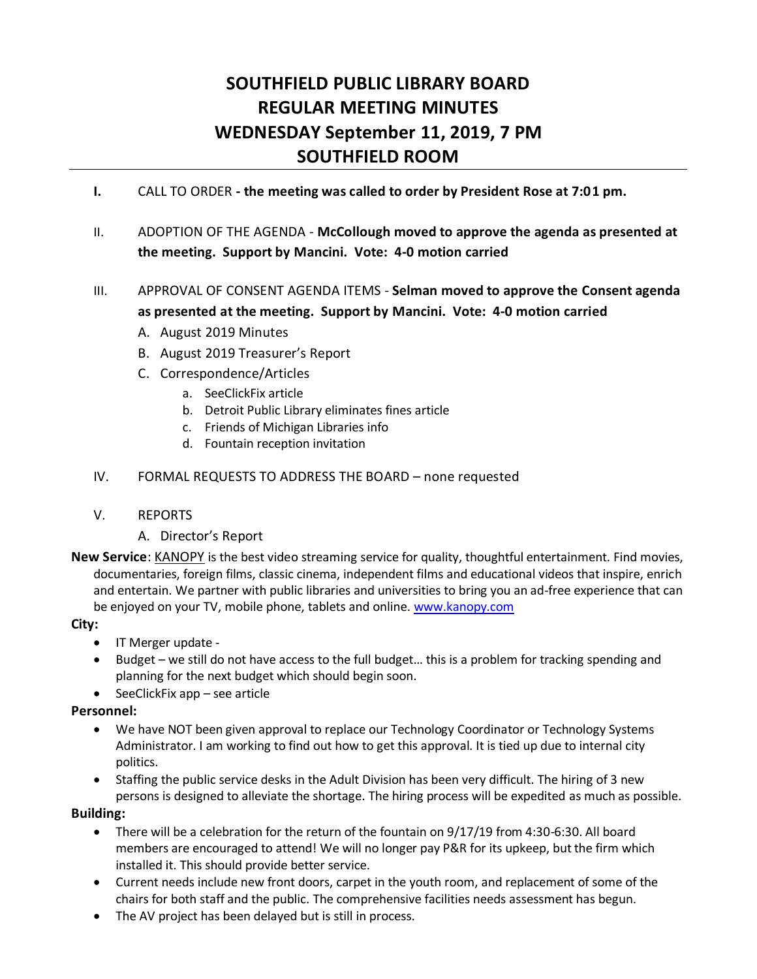# **SOUTHFIELD PUBLIC LIBRARY BOARD REGULAR MEETING MINUTES WEDNESDAY September 11, 2019, 7 PM SOUTHFIELD ROOM**

- **I.** CALL TO ORDER **- the meeting was called to order by President Rose at 7:01 pm.**
- II. ADOPTION OF THE AGENDA **McCollough moved to approve the agenda as presented at the meeting. Support by Mancini. Vote: 4-0 motion carried**
- III. APPROVAL OF CONSENT AGENDA ITEMS **Selman moved to approve the Consent agenda as presented at the meeting. Support by Mancini. Vote: 4-0 motion carried**
	- A. August 2019 Minutes
	- B. August 2019 Treasurer's Report
	- C. Correspondence/Articles
		- a. SeeClickFix article
		- b. Detroit Public Library eliminates fines article
		- c. Friends of Michigan Libraries info
		- d. Fountain reception invitation
- IV. FORMAL REQUESTS TO ADDRESS THE BOARD none requested
- V. REPORTS
	- A. Director's Report
- **New Service**: KANOPY is the best video streaming service for quality, thoughtful entertainment. Find movies, documentaries, foreign films, classic cinema, independent films and educational videos that inspire, enrich and entertain. We partner with public libraries and universities to bring you an ad-free experience that can be enjoyed on your TV, mobile phone, tablets and online. [www.kanopy.com](http://www.kanopy.com/)

#### **City:**

- IT Merger update -
- Budget we still do not have access to the full budget… this is a problem for tracking spending and planning for the next budget which should begin soon.
- $\bullet$  SeeClickFix app see article

#### **Personnel:**

- We have NOT been given approval to replace our Technology Coordinator or Technology Systems Administrator. I am working to find out how to get this approval. It is tied up due to internal city politics.
- Staffing the public service desks in the Adult Division has been very difficult. The hiring of 3 new persons is designed to alleviate the shortage. The hiring process will be expedited as much as possible.

#### **Building:**

- There will be a celebration for the return of the fountain on 9/17/19 from 4:30-6:30. All board members are encouraged to attend! We will no longer pay P&R for its upkeep, but the firm which installed it. This should provide better service.
- Current needs include new front doors, carpet in the youth room, and replacement of some of the chairs for both staff and the public. The comprehensive facilities needs assessment has begun.
- The AV project has been delayed but is still in process.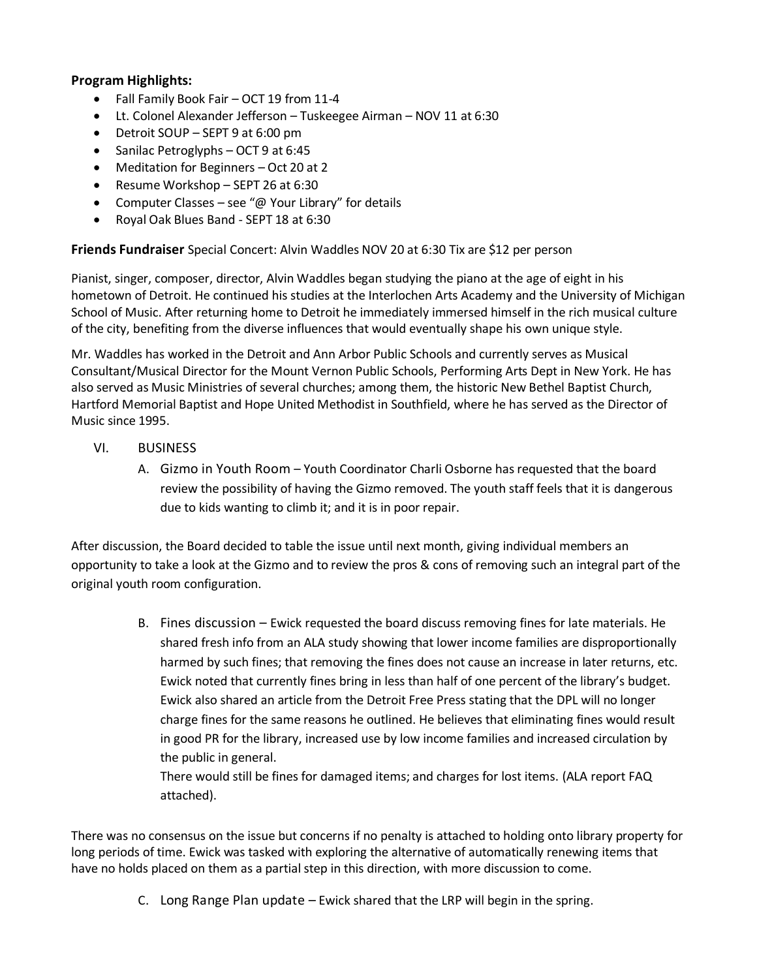### **Program Highlights:**

- Fall Family Book Fair OCT 19 from 11-4
- Lt. Colonel Alexander Jefferson Tuskeegee Airman NOV 11 at 6:30
- Detroit SOUP SEPT 9 at 6:00 pm
- Sanilac Petroglyphs OCT 9 at  $6:45$
- Meditation for Beginners Oct 20 at 2
- Resume Workshop SEPT 26 at 6:30
- Computer Classes see "@ Your Library" for details
- Royal Oak Blues Band SEPT 18 at 6:30

**Friends Fundraiser** Special Concert: Alvin Waddles NOV 20 at 6:30 Tix are \$12 per person

Pianist, singer, composer, director, Alvin Waddles began studying the piano at the age of eight in his hometown of Detroit. He continued his studies at the Interlochen Arts Academy and the University of Michigan School of Music. After returning home to Detroit he immediately immersed himself in the rich musical culture of the city, benefiting from the diverse influences that would eventually shape his own unique style.

Mr. Waddles has worked in the Detroit and Ann Arbor Public Schools and currently serves as Musical Consultant/Musical Director for the Mount Vernon Public Schools, Performing Arts Dept in New York. He has also served as Music Ministries of several churches; among them, the historic New Bethel Baptist Church, Hartford Memorial Baptist and Hope United Methodist in Southfield, where he has served as the Director of Music since 1995.

- VI. BUSINESS
	- A. Gizmo in Youth Room Youth Coordinator Charli Osborne has requested that the board review the possibility of having the Gizmo removed. The youth staff feels that it is dangerous due to kids wanting to climb it; and it is in poor repair.

After discussion, the Board decided to table the issue until next month, giving individual members an opportunity to take a look at the Gizmo and to review the pros & cons of removing such an integral part of the original youth room configuration.

> B. Fines discussion – Ewick requested the board discuss removing fines for late materials. He shared fresh info from an ALA study showing that lower income families are disproportionally harmed by such fines; that removing the fines does not cause an increase in later returns, etc. Ewick noted that currently fines bring in less than half of one percent of the library's budget. Ewick also shared an article from the Detroit Free Press stating that the DPL will no longer charge fines for the same reasons he outlined. He believes that eliminating fines would result in good PR for the library, increased use by low income families and increased circulation by the public in general.

There would still be fines for damaged items; and charges for lost items. (ALA report FAQ attached).

There was no consensus on the issue but concerns if no penalty is attached to holding onto library property for long periods of time. Ewick was tasked with exploring the alternative of automatically renewing items that have no holds placed on them as a partial step in this direction, with more discussion to come.

C. Long Range Plan update – Ewick shared that the LRP will begin in the spring.